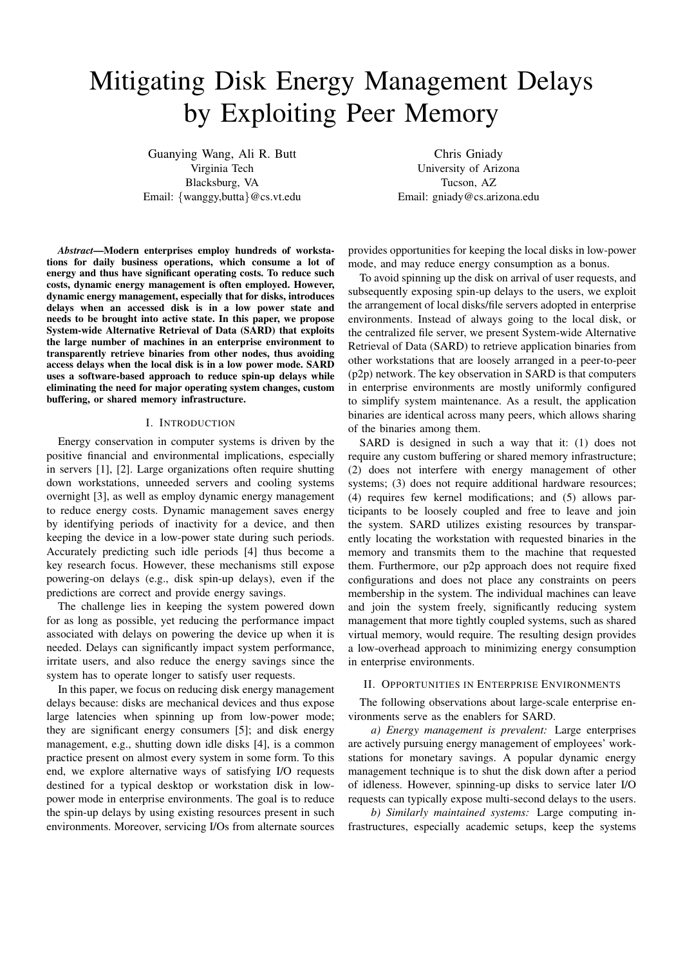# Mitigating Disk Energy Management Delays by Exploiting Peer Memory

Guanying Wang, Ali R. Butt Virginia Tech Blacksburg, VA Email: {wanggy,butta}@cs.vt.edu

Chris Gniady University of Arizona Tucson, AZ Email: gniady@cs.arizona.edu

*Abstract*—Modern enterprises employ hundreds of workstations for daily business operations, which consume a lot of energy and thus have significant operating costs. To reduce such costs, dynamic energy management is often employed. However, dynamic energy management, especially that for disks, introduces delays when an accessed disk is in a low power state and needs to be brought into active state. In this paper, we propose System-wide Alternative Retrieval of Data (SARD) that exploits the large number of machines in an enterprise environment to transparently retrieve binaries from other nodes, thus avoiding access delays when the local disk is in a low power mode. SARD uses a software-based approach to reduce spin-up delays while eliminating the need for major operating system changes, custom buffering, or shared memory infrastructure.

## I. INTRODUCTION

Energy conservation in computer systems is driven by the positive financial and environmental implications, especially in servers [1], [2]. Large organizations often require shutting down workstations, unneeded servers and cooling systems overnight [3], as well as employ dynamic energy management to reduce energy costs. Dynamic management saves energy by identifying periods of inactivity for a device, and then keeping the device in a low-power state during such periods. Accurately predicting such idle periods [4] thus become a key research focus. However, these mechanisms still expose powering-on delays (e.g., disk spin-up delays), even if the predictions are correct and provide energy savings.

The challenge lies in keeping the system powered down for as long as possible, yet reducing the performance impact associated with delays on powering the device up when it is needed. Delays can significantly impact system performance, irritate users, and also reduce the energy savings since the system has to operate longer to satisfy user requests.

In this paper, we focus on reducing disk energy management delays because: disks are mechanical devices and thus expose large latencies when spinning up from low-power mode; they are significant energy consumers [5]; and disk energy management, e.g., shutting down idle disks [4], is a common practice present on almost every system in some form. To this end, we explore alternative ways of satisfying I/O requests destined for a typical desktop or workstation disk in lowpower mode in enterprise environments. The goal is to reduce the spin-up delays by using existing resources present in such environments. Moreover, servicing I/Os from alternate sources

provides opportunities for keeping the local disks in low-power mode, and may reduce energy consumption as a bonus.

To avoid spinning up the disk on arrival of user requests, and subsequently exposing spin-up delays to the users, we exploit the arrangement of local disks/file servers adopted in enterprise environments. Instead of always going to the local disk, or the centralized file server, we present System-wide Alternative Retrieval of Data (SARD) to retrieve application binaries from other workstations that are loosely arranged in a peer-to-peer (p2p) network. The key observation in SARD is that computers in enterprise environments are mostly uniformly configured to simplify system maintenance. As a result, the application binaries are identical across many peers, which allows sharing of the binaries among them.

SARD is designed in such a way that it: (1) does not require any custom buffering or shared memory infrastructure; (2) does not interfere with energy management of other systems; (3) does not require additional hardware resources; (4) requires few kernel modifications; and (5) allows participants to be loosely coupled and free to leave and join the system. SARD utilizes existing resources by transparently locating the workstation with requested binaries in the memory and transmits them to the machine that requested them. Furthermore, our p2p approach does not require fixed configurations and does not place any constraints on peers membership in the system. The individual machines can leave and join the system freely, significantly reducing system management that more tightly coupled systems, such as shared virtual memory, would require. The resulting design provides a low-overhead approach to minimizing energy consumption in enterprise environments.

## II. OPPORTUNITIES IN ENTERPRISE ENVIRONMENTS

The following observations about large-scale enterprise environments serve as the enablers for SARD.

*a) Energy management is prevalent:* Large enterprises are actively pursuing energy management of employees' workstations for monetary savings. A popular dynamic energy management technique is to shut the disk down after a period of idleness. However, spinning-up disks to service later I/O requests can typically expose multi-second delays to the users.

*b) Similarly maintained systems:* Large computing infrastructures, especially academic setups, keep the systems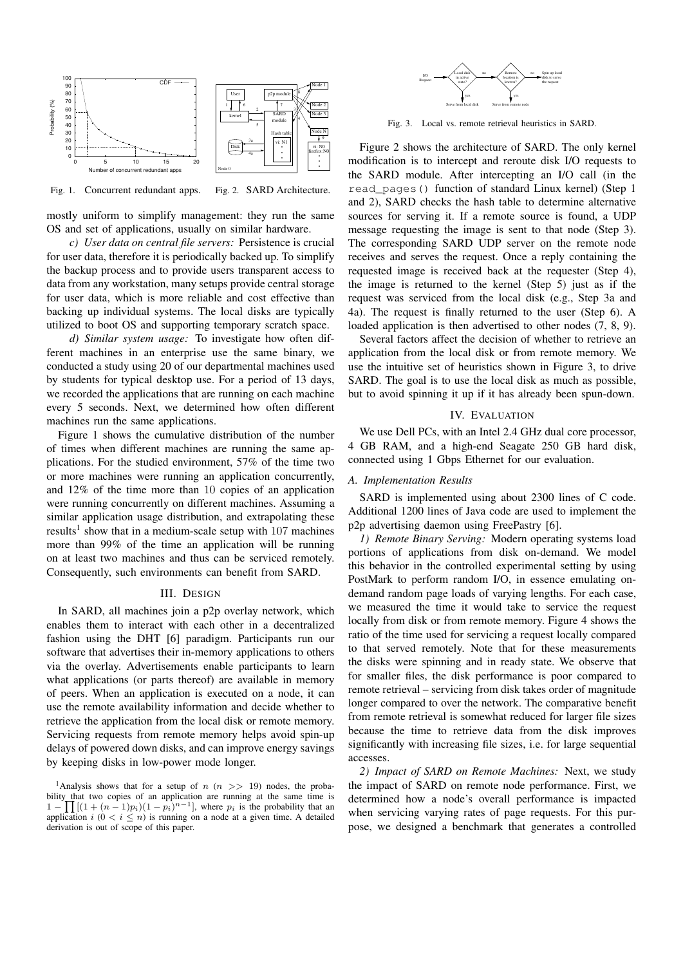

Fig. 1. Concurrent redundant apps. Fig. 2. SARD Architecture.

mostly uniform to simplify management: they run the same OS and set of applications, usually on similar hardware.

*c) User data on central file servers:* Persistence is crucial for user data, therefore it is periodically backed up. To simplify the backup process and to provide users transparent access to data from any workstation, many setups provide central storage for user data, which is more reliable and cost effective than backing up individual systems. The local disks are typically utilized to boot OS and supporting temporary scratch space.

*d) Similar system usage:* To investigate how often different machines in an enterprise use the same binary, we conducted a study using 20 of our departmental machines used by students for typical desktop use. For a period of 13 days, we recorded the applications that are running on each machine every 5 seconds. Next, we determined how often different machines run the same applications.

Figure 1 shows the cumulative distribution of the number of times when different machines are running the same applications. For the studied environment, 57% of the time two or more machines were running an application concurrently, and 12% of the time more than 10 copies of an application were running concurrently on different machines. Assuming a similar application usage distribution, and extrapolating these results<sup>1</sup> show that in a medium-scale setup with  $107$  machines more than 99% of the time an application will be running on at least two machines and thus can be serviced remotely. Consequently, such environments can benefit from SARD.

#### III. DESIGN

In SARD, all machines join a p2p overlay network, which enables them to interact with each other in a decentralized fashion using the DHT [6] paradigm. Participants run our software that advertises their in-memory applications to others via the overlay. Advertisements enable participants to learn what applications (or parts thereof) are available in memory of peers. When an application is executed on a node, it can use the remote availability information and decide whether to retrieve the application from the local disk or remote memory. Servicing requests from remote memory helps avoid spin-up delays of powered down disks, and can improve energy savings by keeping disks in low-power mode longer.

<sup>1</sup>Analysis shows that for a setup of  $n (n >> 19)$  nodes, the probability that two copies of an application are running at the same time is  $1 - \prod_{i=1}^{n} \left[ (1 + (n-1)p_i)(1-p_i)^{n-1} \right]$ , where  $p_i$  is the probability that an application  $i$  ( $0 < i \leq n$ ) is running on a node at a given time. A detailed derivation is out of scope of this paper.



Fig. 3. Local vs. remote retrieval heuristics in SARD.

Figure 2 shows the architecture of SARD. The only kernel modification is to intercept and reroute disk I/O requests to the SARD module. After intercepting an I/O call (in the read\_pages() function of standard Linux kernel) (Step 1 and 2), SARD checks the hash table to determine alternative sources for serving it. If a remote source is found, a UDP message requesting the image is sent to that node (Step 3). The corresponding SARD UDP server on the remote node receives and serves the request. Once a reply containing the requested image is received back at the requester (Step 4), the image is returned to the kernel (Step 5) just as if the request was serviced from the local disk (e.g., Step 3a and 4a). The request is finally returned to the user (Step 6). A loaded application is then advertised to other nodes (7, 8, 9).

Several factors affect the decision of whether to retrieve an application from the local disk or from remote memory. We use the intuitive set of heuristics shown in Figure 3, to drive SARD. The goal is to use the local disk as much as possible, but to avoid spinning it up if it has already been spun-down.

### IV. EVALUATION

We use Dell PCs, with an Intel 2.4 GHz dual core processor, 4 GB RAM, and a high-end Seagate 250 GB hard disk, connected using 1 Gbps Ethernet for our evaluation.

#### *A. Implementation Results*

SARD is implemented using about 2300 lines of C code. Additional 1200 lines of Java code are used to implement the p2p advertising daemon using FreePastry [6].

*1) Remote Binary Serving:* Modern operating systems load portions of applications from disk on-demand. We model this behavior in the controlled experimental setting by using PostMark to perform random I/O, in essence emulating ondemand random page loads of varying lengths. For each case, we measured the time it would take to service the request locally from disk or from remote memory. Figure 4 shows the ratio of the time used for servicing a request locally compared to that served remotely. Note that for these measurements the disks were spinning and in ready state. We observe that for smaller files, the disk performance is poor compared to remote retrieval – servicing from disk takes order of magnitude longer compared to over the network. The comparative benefit from remote retrieval is somewhat reduced for larger file sizes because the time to retrieve data from the disk improves significantly with increasing file sizes, i.e. for large sequential accesses.

*2) Impact of SARD on Remote Machines:* Next, we study the impact of SARD on remote node performance. First, we determined how a node's overall performance is impacted when servicing varying rates of page requests. For this purpose, we designed a benchmark that generates a controlled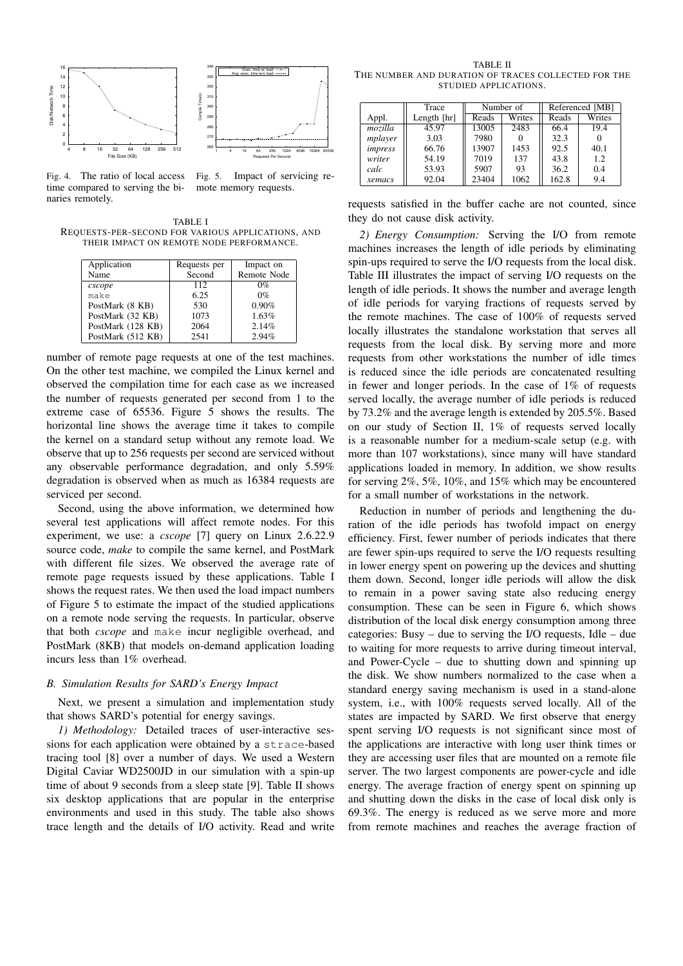

Fig. 4. The ratio of local access time compared to serving the binaries remotely.

Fig. 5. Impact of servicing remote memory requests.

TABLE I REQUESTS-PER-SECOND FOR VARIOUS APPLICATIONS, AND THEIR IMPACT ON REMOTE NODE PERFORMANCE.

| Application       | Requests per | Impact on   |
|-------------------|--------------|-------------|
| Name              | Second       | Remote Node |
| cscope            | 112          | $0\%$       |
| make              | 6.25         | $0\%$       |
| PostMark (8 KB)   | 530          | 0.90%       |
| PostMark (32 KB)  | 1073         | 1.63%       |
| PostMark (128 KB) | 2064         | 2.14%       |
| PostMark (512 KB) | 2541         | 2.94%       |

number of remote page requests at one of the test machines. On the other test machine, we compiled the Linux kernel and observed the compilation time for each case as we increased the number of requests generated per second from 1 to the extreme case of 65536. Figure 5 shows the results. The horizontal line shows the average time it takes to compile the kernel on a standard setup without any remote load. We observe that up to 256 requests per second are serviced without any observable performance degradation, and only 5.59% degradation is observed when as much as 16384 requests are serviced per second.

Second, using the above information, we determined how several test applications will affect remote nodes. For this experiment, we use: a *cscope* [7] query on Linux 2.6.22.9 source code, *make* to compile the same kernel, and PostMark with different file sizes. We observed the average rate of remote page requests issued by these applications. Table I shows the request rates. We then used the load impact numbers of Figure 5 to estimate the impact of the studied applications on a remote node serving the requests. In particular, observe that both *cscope* and make incur negligible overhead, and PostMark (8KB) that models on-demand application loading incurs less than 1% overhead.

## *B. Simulation Results for SARD's Energy Impact*

Next, we present a simulation and implementation study that shows SARD's potential for energy savings.

*1) Methodology:* Detailed traces of user-interactive sessions for each application were obtained by a strace-based tracing tool [8] over a number of days. We used a Western Digital Caviar WD2500JD in our simulation with a spin-up time of about 9 seconds from a sleep state [9]. Table II shows six desktop applications that are popular in the enterprise environments and used in this study. The table also shows trace length and the details of I/O activity. Read and write

TABLE II THE NUMBER AND DURATION OF TRACES COLLECTED FOR THE STUDIED APPLICATIONS.

|                | Trace         |       | Number of | Referenced [MB] |        |  |  |
|----------------|---------------|-------|-----------|-----------------|--------|--|--|
| Appl.          | Length $[hr]$ | Reads | Writes    | Reads           | Writes |  |  |
| mozilla        | 45.97         | 13005 | 2483      | 66.4            | 19.4   |  |  |
| mplayer        | 3.03          | 7980  |           | 32.3            |        |  |  |
| <i>impress</i> | 66.76         | 13907 | 1453      | 92.5            | 40.1   |  |  |
| writer         | 54.19         | 7019  | 137       | 43.8            | 1.2.   |  |  |
| calc           | 53.93         | 5907  | 93        | 36.2            | 0.4    |  |  |
| xemacs         | 92.04         | 23404 | 1062      | 162.8           | 9.4    |  |  |

requests satisfied in the buffer cache are not counted, since they do not cause disk activity.

*2) Energy Consumption:* Serving the I/O from remote machines increases the length of idle periods by eliminating spin-ups required to serve the I/O requests from the local disk. Table III illustrates the impact of serving I/O requests on the length of idle periods. It shows the number and average length of idle periods for varying fractions of requests served by the remote machines. The case of 100% of requests served locally illustrates the standalone workstation that serves all requests from the local disk. By serving more and more requests from other workstations the number of idle times is reduced since the idle periods are concatenated resulting in fewer and longer periods. In the case of 1% of requests served locally, the average number of idle periods is reduced by 73.2% and the average length is extended by 205.5%. Based on our study of Section II, 1% of requests served locally is a reasonable number for a medium-scale setup (e.g. with more than 107 workstations), since many will have standard applications loaded in memory. In addition, we show results for serving 2%, 5%, 10%, and 15% which may be encountered for a small number of workstations in the network.

Reduction in number of periods and lengthening the duration of the idle periods has twofold impact on energy efficiency. First, fewer number of periods indicates that there are fewer spin-ups required to serve the I/O requests resulting in lower energy spent on powering up the devices and shutting them down. Second, longer idle periods will allow the disk to remain in a power saving state also reducing energy consumption. These can be seen in Figure 6, which shows distribution of the local disk energy consumption among three categories: Busy – due to serving the I/O requests, Idle – due to waiting for more requests to arrive during timeout interval, and Power-Cycle – due to shutting down and spinning up the disk. We show numbers normalized to the case when a standard energy saving mechanism is used in a stand-alone system, i.e., with 100% requests served locally. All of the states are impacted by SARD. We first observe that energy spent serving I/O requests is not significant since most of the applications are interactive with long user think times or they are accessing user files that are mounted on a remote file server. The two largest components are power-cycle and idle energy. The average fraction of energy spent on spinning up and shutting down the disks in the case of local disk only is 69.3%. The energy is reduced as we serve more and more from remote machines and reaches the average fraction of